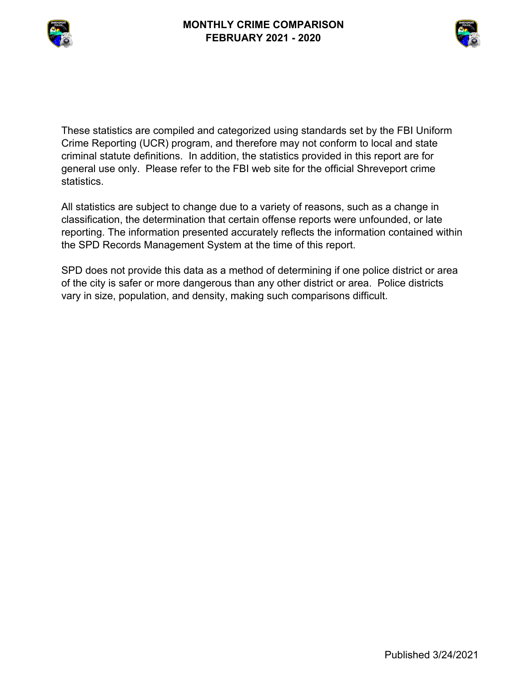



These statistics are compiled and categorized using standards set by the FBI Uniform Crime Reporting (UCR) program, and therefore may not conform to local and state criminal statute definitions. In addition, the statistics provided in this report are for general use only. Please refer to the FBI web site for the official Shreveport crime statistics.

All statistics are subject to change due to a variety of reasons, such as a change in classification, the determination that certain offense reports were unfounded, or late reporting. The information presented accurately reflects the information contained within the SPD Records Management System at the time of this report.

SPD does not provide this data as a method of determining if one police district or area of the city is safer or more dangerous than any other district or area. Police districts vary in size, population, and density, making such comparisons difficult.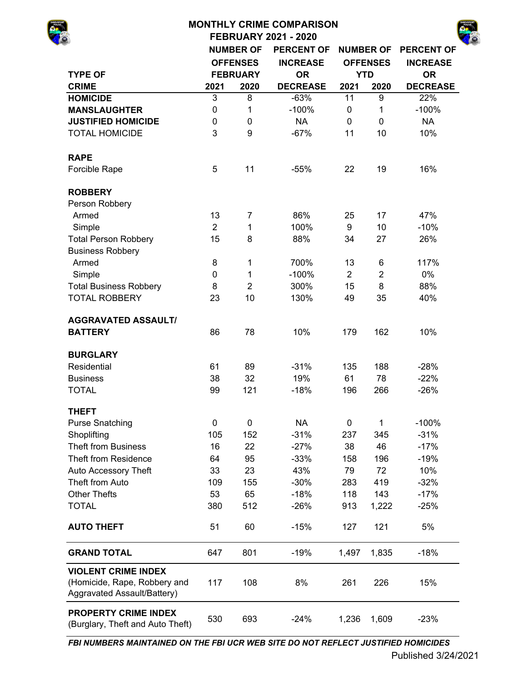|                                                             |                |                  | <b>MONTHLY CRIME COMPARISON</b> |                |                  |                   |
|-------------------------------------------------------------|----------------|------------------|---------------------------------|----------------|------------------|-------------------|
|                                                             |                |                  | <b>FEBRUARY 2021 - 2020</b>     |                |                  |                   |
|                                                             |                | <b>NUMBER OF</b> | <b>PERCENT OF</b>               |                | <b>NUMBER OF</b> | <b>PERCENT OF</b> |
|                                                             |                | <b>OFFENSES</b>  | <b>INCREASE</b>                 |                | <b>OFFENSES</b>  | <b>INCREASE</b>   |
| <b>TYPE OF</b>                                              |                | <b>FEBRUARY</b>  | <b>OR</b>                       |                | <b>YTD</b>       | <b>OR</b>         |
| <b>CRIME</b>                                                | 2021           | 2020             | <b>DECREASE</b>                 | 2021           | 2020             | <b>DECREASE</b>   |
| <b>HOMICIDE</b>                                             | 3              | 8                | $-63%$                          | 11             | 9                | 22%               |
| <b>MANSLAUGHTER</b>                                         | $\pmb{0}$      | 1                | $-100%$                         | $\mathbf 0$    | 1                | $-100%$           |
| <b>JUSTIFIED HOMICIDE</b>                                   | $\pmb{0}$      | 0                | <b>NA</b>                       | 0              | 0                | <b>NA</b>         |
| <b>TOTAL HOMICIDE</b>                                       | 3              | 9                | $-67%$                          | 11             | 10               | 10%               |
| <b>RAPE</b>                                                 |                |                  |                                 |                |                  |                   |
| Forcible Rape                                               | 5              | 11               | $-55%$                          | 22             | 19               | 16%               |
| <b>ROBBERY</b>                                              |                |                  |                                 |                |                  |                   |
| Person Robbery                                              |                |                  |                                 |                |                  |                   |
| Armed                                                       | 13             | 7                | 86%                             | 25             | 17               | 47%               |
| Simple                                                      | $\overline{2}$ | 1                | 100%                            | 9              | 10               | $-10%$            |
| <b>Total Person Robbery</b>                                 | 15             | 8                | 88%                             | 34             | 27               | 26%               |
| <b>Business Robbery</b>                                     |                |                  |                                 |                |                  |                   |
| Armed                                                       | 8              | 1                | 700%                            | 13             | 6                | 117%              |
| Simple                                                      | 0              | 1                | $-100%$                         | $\overline{2}$ | $\overline{2}$   | 0%                |
| <b>Total Business Robbery</b>                               | 8              | $\overline{2}$   | 300%                            | 15             | 8                | 88%               |
| <b>TOTAL ROBBERY</b>                                        | 23             | 10               | 130%                            | 49             | 35               | 40%               |
| <b>AGGRAVATED ASSAULT/</b>                                  |                |                  |                                 |                |                  |                   |
| <b>BATTERY</b>                                              | 86             | 78               | 10%                             | 179            | 162              | 10%               |
| <b>BURGLARY</b>                                             |                |                  |                                 |                |                  |                   |
| Residential                                                 | 61             | 89               | $-31%$                          | 135            | 188              | $-28%$            |
| <b>Business</b>                                             | 38             | 32               | 19%                             | 61             | 78               | $-22%$            |
| <b>TOTAL</b>                                                | 99             | 121              | $-18%$                          | 196            | 266              | $-26%$            |
| <b>THEFT</b>                                                |                |                  |                                 |                |                  |                   |
| <b>Purse Snatching</b>                                      | $\mathbf 0$    | 0                | <b>NA</b>                       | 0              | 1                | $-100%$           |
| Shoplifting                                                 | 105            | 152              | $-31%$                          | 237            | 345              | $-31%$            |
| <b>Theft from Business</b>                                  | 16             | 22               | $-27%$                          | 38             | 46               | $-17%$            |
| <b>Theft from Residence</b>                                 | 64             | 95               | $-33%$                          | 158            | 196              | $-19%$            |
| Auto Accessory Theft                                        | 33             | 23               | 43%                             | 79             | 72               | 10%               |
| Theft from Auto                                             | 109            | 155              | $-30%$                          | 283            | 419              | $-32%$            |
| <b>Other Thefts</b>                                         | 53             | 65               | $-18%$                          | 118            | 143              | $-17%$            |
| <b>TOTAL</b>                                                | 380            | 512              | $-26%$                          | 913            | 1,222            | $-25%$            |
| <b>AUTO THEFT</b>                                           | 51             | 60               | $-15%$                          | 127            | 121              | 5%                |
| <b>GRAND TOTAL</b>                                          | 647            | 801              | $-19%$                          | 1,497          | 1,835            | $-18%$            |
| <b>VIOLENT CRIME INDEX</b>                                  |                |                  |                                 |                |                  |                   |
| (Homicide, Rape, Robbery and<br>Aggravated Assault/Battery) | 117            | 108              | 8%                              | 261            | 226              | 15%               |

530 693 -24% 1,236 1,609 -23% Aggravated Assault/Battery) **PROPERTY CRIME INDEX**  (Burglary, Theft and Auto Theft)

*FBI NUMBERS MAINTAINED ON THE FBI UCR WEB SITE DO NOT REFLECT JUSTIFIED HOMICIDES*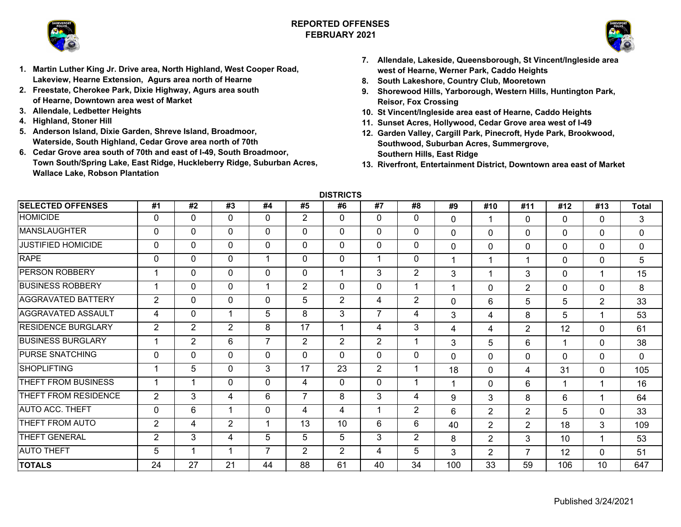

# **REPORTED OFFENSESFEBRUARY 2021**



- **1. Martin Luther King Jr. Drive area, North Highland, West Cooper Road, Lakeview, Hearne Extension, Agurs area north of Hearne**
- **2. Freestate, Cherokee Park, Dixie Highway, Agurs area south of Hearne, Downtown area west of Market**
- **3. Allendale, Ledbetter Heights**
- **4. Highland, Stoner Hill**
- **5. Anderson Island, Dixie Garden, Shreve Island, Broadmoor, Waterside, South Highland, Cedar Grove area north of 70th**
- **6. Cedar Grove area south of 70th and east of I-49, South Broadmoor, Town South/Spring Lake, East Ridge, Huckleberry Ridge, Suburban Acres, Wallace Lake, Robson Plantation**
- **7. Allendale, Lakeside, Queensborough, St Vincent/Ingleside area west of Hearne, Werner Park, Caddo Heights**
- **8. South Lakeshore, Country Club, Mooretown**
- **9. Shorewood Hills, Yarborough, Western Hills, Huntington Park, Reisor, Fox Crossing**
- **10. St Vincent/Ingleside area east of Hearne, Caddo Heights**
- **11. Sunset Acres, Hollywood, Cedar Grove area west of I-49**
- **12. Garden Valley, Cargill Park, Pinecroft, Hyde Park, Brookwood, Southwood, Suburban Acres, Summergrove, Southern Hills, East Ridge**
- **13. Riverfront, Entertainment District, Downtown area east of Market**

**DISTRICTS**

| <b>SELECTED OFFENSES</b>  | #1             | #2             | #3             | #4                       | #5             | #6             | #7             | #8             | #9          | #10            | #11            | #12         | #13            | <b>Total</b> |
|---------------------------|----------------|----------------|----------------|--------------------------|----------------|----------------|----------------|----------------|-------------|----------------|----------------|-------------|----------------|--------------|
| <b>HOMICIDE</b>           | 0              | $\mathbf 0$    | $\mathbf 0$    | 0                        | 2              | $\mathbf 0$    | 0              | 0              | $\mathbf 0$ | 1              | 0              | $\Omega$    | $\Omega$       | 3            |
| <b>MANSLAUGHTER</b>       | 0              | 0              | $\mathbf 0$    | 0                        | $\Omega$       | $\Omega$       | 0              | 0              | $\mathbf 0$ | $\Omega$       | $\Omega$       | 0           | $\mathbf 0$    | 0            |
| <b>JUSTIFIED HOMICIDE</b> | 0              | 0              | $\mathbf 0$    | $\Omega$                 | $\mathbf 0$    | $\mathbf 0$    | 0              | 0              | $\mathbf 0$ | 0              | $\Omega$       | $\mathbf 0$ | $\mathbf{0}$   | 0            |
| <b>RAPE</b>               | 0              | 0              | $\mathbf 0$    |                          | $\mathbf 0$    | $\mathbf 0$    |                | 0              |             | 1              | 1              | $\mathbf 0$ | $\mathbf 0$    | 5            |
| <b>PERSON ROBBERY</b>     |                | 0              | $\mathbf 0$    | $\Omega$                 | $\mathbf 0$    | 1              | 3              | $\overline{2}$ | 3           | 1              | 3              | $\mathbf 0$ |                | 15           |
| <b>BUSINESS ROBBERY</b>   | 1              | 0              | $\mathbf{0}$   |                          | 2              | $\mathbf{0}$   | 0              | $\mathbf 1$    |             | $\Omega$       | $\overline{2}$ | 0           | $\mathbf 0$    | 8            |
| <b>AGGRAVATED BATTERY</b> | 2              | 0              | $\mathbf 0$    | $\Omega$                 | 5              | $\overline{2}$ | 4              | $\overline{2}$ | $\mathbf 0$ | 6              | 5              | 5           | $\overline{2}$ | 33           |
| AGGRAVATED ASSAULT        | 4              | 0              | 1              | 5                        | 8              | 3              | 7              | 4              | 3           | 4              | 8              | 5           |                | 53           |
| <b>RESIDENCE BURGLARY</b> | $\overline{2}$ | $\overline{2}$ | $\overline{2}$ | 8                        | 17             | 1              | 4              | 3              | 4           | 4              | 2              | 12          | $\mathbf{0}$   | 61           |
| <b>BUSINESS BURGLARY</b>  |                | $\overline{2}$ | 6              | $\overline{ }$           | $\overline{2}$ | $\overline{2}$ | $\overline{2}$ | 1              | 3           | 5              | 6              |             | $\mathbf{0}$   | 38           |
| <b>PURSE SNATCHING</b>    | 0              | 0              | $\mathbf{0}$   | $\Omega$                 | $\mathbf{0}$   | $\mathbf{0}$   | $\mathbf{0}$   | $\Omega$       | $\Omega$    | $\Omega$       | $\Omega$       | $\Omega$    | $\mathbf 0$    | 0            |
| <b>SHOPLIFTING</b>        |                | 5              | 0              | 3                        | 17             | 23             | $\overline{2}$ |                | 18          | $\Omega$       | 4              | 31          | $\mathbf{0}$   | 105          |
| THEFT FROM BUSINESS       |                | 1              | $\mathbf 0$    | $\Omega$                 | 4              | $\Omega$       | $\Omega$       | 1              | 1           | $\Omega$       | 6              | 1           |                | 16           |
| THEFT FROM RESIDENCE      | 2              | 3              | 4              | 6                        | $\overline{7}$ | 8              | 3              | 4              | 9           | 3              | 8              | 6           |                | 64           |
| <b>AUTO ACC. THEFT</b>    | $\mathbf{0}$   | 6              | 1              | 0                        | 4              | 4              | -1             | $\overline{2}$ | 6           | $\overline{2}$ | $\overline{2}$ | 5           | $\mathbf 0$    | 33           |
| THEFT FROM AUTO           | $\overline{2}$ | 4              | $\overline{2}$ |                          | 13             | 10             | 6              | 6              | 40          | $\overline{2}$ | $\overline{2}$ | 18          | 3              | 109          |
| THEFT GENERAL             | $\overline{2}$ | 3              | 4              | 5                        | 5              | 5              | 3              | $\overline{2}$ | 8           | $\overline{2}$ | 3              | 10          |                | 53           |
| <b>AUTO THEFT</b>         | 5              | 1              | 1              | $\overline{\phantom{a}}$ | 2              | $\overline{2}$ | 4              | 5              | 3           | $\overline{2}$ | 7              | 12          | $\mathbf{0}$   | 51           |
| <b>TOTALS</b>             | 24             | 27             | 21             | 44                       | 88             | 61             | 40             | 34             | 100         | 33             | 59             | 106         | 10             | 647          |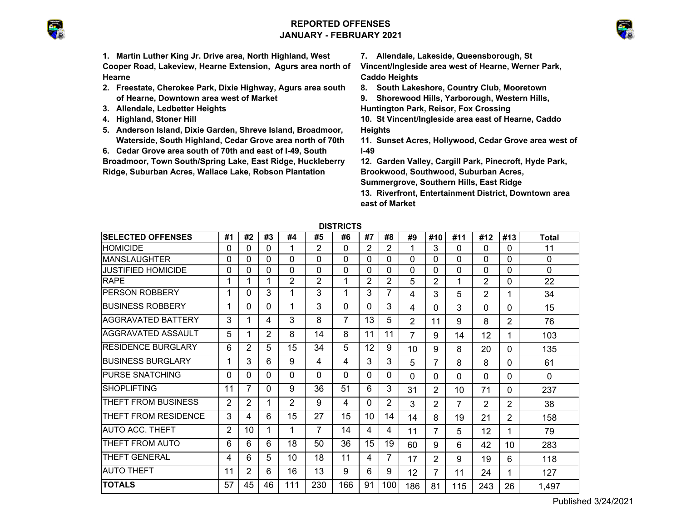# **REPORTED OFFENSESJANUARY - FEBRUARY 2021**



**1. Martin Luther King Jr. Drive area, North Highland, West Cooper Road, Lakeview, Hearne Extension, Agurs area north of Hearne**

- **2. Freestate, Cherokee Park, Dixie Highway, Agurs area south of Hearne, Downtown area west of Market**
- **3. Allendale, Ledbetter Heights**
- **4. Highland, Stoner Hill**
- **5. Anderson Island, Dixie Garden, Shreve Island, Broadmoor, Waterside, South Highland, Cedar Grove area north of 70th**
- **6. Cedar Grove area south of 70th and east of I-49, South**

**Broadmoor, Town South/Spring Lake, East Ridge, Huckleberry Ridge, Suburban Acres, Wallace Lake, Robson Plantation** 

**7. Allendale, Lakeside, Queensborough, St** 

**Vincent/Ingleside area west of Hearne, Werner Park, Caddo Heights**

**8. South Lakeshore, Country Club, Mooretown**

**9. Shorewood Hills, Yarborough, Western Hills,** 

**Huntington Park, Reisor, Fox Crossing**

- **10. St Vincent/Ingleside area east of Hearne, Caddo Heights**
- **11. Sunset Acres, Hollywood, Cedar Grove area west of I-49**
- **12. Garden Valley, Cargill Park, Pinecroft, Hyde Park, Brookwood, Southwood, Suburban Acres, Summergrove, Southern Hills, East Ridge**

**13. Riverfront, Entertainment District, Downtown area east of Market**

|                            | <b>טוטומו</b>  |    |    |                |          |          |    |                |                |                |          |                |                |              |
|----------------------------|----------------|----|----|----------------|----------|----------|----|----------------|----------------|----------------|----------|----------------|----------------|--------------|
| <b>SELECTED OFFENSES</b>   | #1             | #2 | #3 | #4             | #5       | #6       | #7 | #8             | #9             | #10            | #11      | #12            | #13            | <b>Total</b> |
| <b>HOMICIDE</b>            | 0              | 0  | 0  |                | 2        | 0        | 2  | 2              | 1              | 3              | 0        | $\Omega$       | 0              | 11           |
| <b>IMANSLAUGHTER</b>       | 0              | 0  | 0  | 0              | $\Omega$ | 0        | 0  | $\Omega$       | 0              | 0              | 0        | $\Omega$       | $\Omega$       | 0            |
| <b>JUSTIFIED HOMICIDE</b>  | 0              | 0  | 0  | 0              | $\Omega$ | $\Omega$ | 0  | 0              | $\Omega$       | 0              | 0        | 0              | $\Omega$       | $\Omega$     |
| <b>RAPE</b>                |                | 1  | 1  | 2              | 2        | 1        | 2  | 2              | 5              | 2              | 1        | 2              | $\Omega$       | 22           |
| <b>PERSON ROBBERY</b>      |                | 0  | 3  | 1              | 3        | 1        | 3  | 7              | 4              | 3              | 5        | 2              | 1              | 34           |
| <b>BUSINESS ROBBERY</b>    |                | 0  | 0  | 1              | 3        | $\Omega$ | 0  | 3              | 4              | 0              | 3        | 0              | 0              | 15           |
| IAGGRAVATED BATTERY        | 3              | 1  | 4  | 3              | 8        | 7        | 13 | 5              | $\overline{2}$ | 11             | 9        | 8              | 2              | 76           |
| AGGRAVATED ASSAULT         | 5              | 1  | 2  | 8              | 14       | 8        | 11 | 11             | 7              | 9              | 14       | 12             | 1              | 103          |
| <b>RESIDENCE BURGLARY</b>  | 6              | 2  | 5  | 15             | 34       | 5        | 12 | 9              | 10             | 9              | 8        | 20             | $\Omega$       | 135          |
| <b>BUSINESS BURGLARY</b>   |                | 3  | 6  | 9              | 4        | 4        | 3  | 3              | 5              | 7              | 8        | 8              | 0              | 61           |
| <b>PURSE SNATCHING</b>     | 0              | 0  | 0  | 0              | $\Omega$ | $\Omega$ | 0  | $\Omega$       | $\Omega$       | 0              | $\Omega$ | $\Omega$       | 0              | 0            |
| <b>SHOPLIFTING</b>         | 11             | 7  | 0  | 9              | 36       | 51       | 6  | 3              | 31             | $\overline{2}$ | 10       | 71             | $\Omega$       | 237          |
| <b>THEFT FROM BUSINESS</b> | 2              | 2  | 1  | $\overline{2}$ | 9        | 4        | 0  | $\overline{2}$ | 3              | $\overline{2}$ | 7        | $\overline{2}$ | 2              | 38           |
| THEFT FROM RESIDENCE       | 3              | 4  | 6  | 15             | 27       | 15       | 10 | 14             | 14             | 8              | 19       | 21             | $\overline{2}$ | 158          |
| <b>AUTO ACC. THEFT</b>     | $\overline{2}$ | 10 | 1  | 1              | 7        | 14       | 4  | 4              | 11             | 7              | 5        | 12             | 1              | 79           |
| THEFT FROM AUTO            | 6              | 6  | 6  | 18             | 50       | 36       | 15 | 19             | 60             | 9              | 6        | 42             | 10             | 283          |
| <b>THEFT GENERAL</b>       | 4              | 6  | 5  | 10             | 18       | 11       | 4  | 7              | 17             | 2              | 9        | 19             | 6              | 118          |
| <b>AUTO THEFT</b>          | 11             | 2  | 6  | 16             | 13       | 9        | 6  | 9              | 12             | 7              | 11       | 24             | 1              | 127          |
| <b>TOTALS</b>              | 57             | 45 | 46 | 111            | 230      | 166      | 91 | 100            | 186            | 81             | 115      | 243            | 26             | 1,497        |

**DISTRICTS**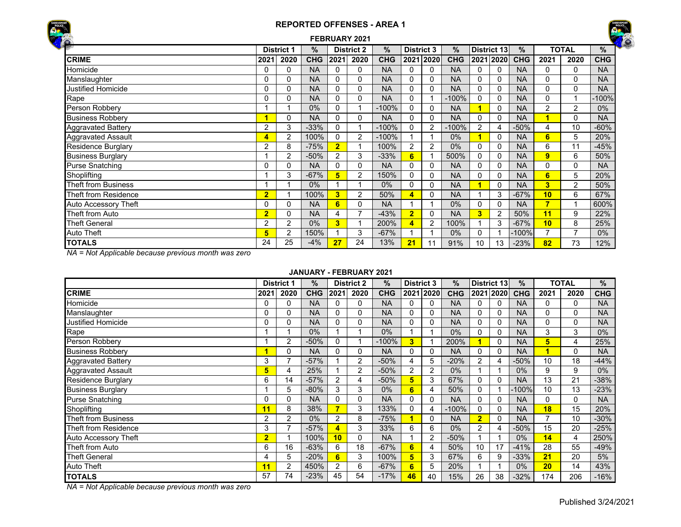



| $\ddot{\bullet}$           |                |                   |            |                | FEBRUARY 2021     |            |                   |                |            |                         |                |            |                |                |            |
|----------------------------|----------------|-------------------|------------|----------------|-------------------|------------|-------------------|----------------|------------|-------------------------|----------------|------------|----------------|----------------|------------|
|                            |                | <b>District 1</b> | %          |                | <b>District 2</b> | $\%$       | <b>District 3</b> |                | $\%$       |                         | District 13    | %          |                | <b>TOTAL</b>   | %          |
| <b>CRIME</b>               | 2021           | 2020              | <b>CHG</b> | 2021           | 2020              | <b>CHG</b> |                   | 2021 2020      | <b>CHG</b> |                         | 2021 2020      | <b>CHG</b> | 2021           | 2020           | <b>CHG</b> |
| Homicide                   | 0              | 0                 | <b>NA</b>  | 0              | 0                 | <b>NA</b>  | 0                 | 0              | <b>NA</b>  | 0                       |                | <b>NA</b>  | 0              | $\Omega$       | <b>NA</b>  |
| Manslaughter               | 0              | 0                 | <b>NA</b>  | 0              | 0                 | <b>NA</b>  | 0                 | 0              | <b>NA</b>  | 0                       | 0              | <b>NA</b>  | 0              | 0              | <b>NA</b>  |
| <b>Justified Homicide</b>  | 0              | 0                 | <b>NA</b>  | 0              | 0                 | <b>NA</b>  | 0                 | $\Omega$       | <b>NA</b>  | 0                       | 0              | <b>NA</b>  | 0              | $\Omega$       | <b>NA</b>  |
| Rape                       | $\mathbf{0}$   | $\mathbf{0}$      | <b>NA</b>  | 0              | 0                 | <b>NA</b>  | 0                 |                | $-100%$    | $\Omega$                |                | <b>NA</b>  | 0              |                | -100%      |
| Person Robbery             |                |                   | 0%         | 0              |                   | $-100%$    | 0                 | 0              | <b>NA</b>  | 1                       | 0              | <b>NA</b>  | $\overline{2}$ | 2              | $0\%$      |
| <b>Business Robbery</b>    |                | 0                 | <b>NA</b>  | 0              | 0                 | <b>NA</b>  | 0                 | 0              | <b>NA</b>  | $\Omega$                | 0              | <b>NA</b>  | 1              | 0              | <b>NA</b>  |
| <b>Aggravated Battery</b>  | 2              | 3                 | $-33%$     | 0              |                   | $-100%$    | 0                 | $\overline{2}$ | $-100%$    | 2                       |                | $-50%$     | 4              | 10             | $-60%$     |
| <b>Aggravated Assault</b>  | 4              | 2                 | 100%       | 0              | $\overline{2}$    | $-100%$    |                   |                | $0\%$      | 1                       | 0              | <b>NA</b>  | 6              | 5              | 20%        |
| <b>Residence Burglary</b>  | 2              | 8                 | $-75%$     | $\overline{2}$ |                   | 100%       | $\overline{2}$    | 2              | $0\%$      | $\Omega$                | 0              | <b>NA</b>  | 6              | 11             | $-45%$     |
| <b>Business Burglary</b>   |                | 2                 | $-50%$     | $\overline{2}$ | 3                 | $-33%$     | 6                 |                | 500%       | $\Omega$                | 0              | <b>NA</b>  | 9              | 6              | 50%        |
| <b>Purse Snatching</b>     | 0              | 0                 | <b>NA</b>  | 0              | 0                 | <b>NA</b>  | 0                 | 0              | <b>NA</b>  | 0                       | 0              | <b>NA</b>  | 0              | 0              | <b>NA</b>  |
| Shoplifting                |                | 3                 | $-67%$     | 5              | $\overline{2}$    | 150%       | 0                 | 0              | <b>NA</b>  | $\Omega$                | 0              | <b>NA</b>  | 6              | 5              | 20%        |
| <b>Theft from Business</b> |                |                   | $0\%$      |                |                   | $0\%$      | 0                 | $\Omega$       | <b>NA</b>  | 1                       | $\Omega$       | <b>NA</b>  | 3              | 2              | 50%        |
| Theft from Residence       | $\overline{2}$ |                   | 100%       | 3              | 2                 | 50%        | 4                 | 0              | <b>NA</b>  |                         | 3              | $-67%$     | 10             | 6              | 67%        |
| Auto Accessory Theft       | 0              | 0                 | <b>NA</b>  | 6              | 0                 | <b>NA</b>  |                   |                | $0\%$      | $\Omega$                | 0              | <b>NA</b>  | 7              |                | 600%       |
| Theft from Auto            | $\overline{2}$ | $\mathbf{0}$      | <b>NA</b>  | 4              | $\overline{7}$    | $-43%$     | $\overline{2}$    | 0              | <b>NA</b>  | $\overline{\mathbf{3}}$ | $\overline{2}$ | 50%        | 11             | 9              | 22%        |
| <b>Theft General</b>       | 2              | 2                 | $0\%$      | 3              |                   | 200%       | 4                 | 2              | 100%       |                         | 3              | $-67%$     | 10             | 8              | 25%        |
| <b>Auto Theft</b>          | 5              | 2                 | 150%       |                | 3                 | $-67%$     |                   |                | $0\%$      | $\Omega$                |                | $-100%$    | $\overline{7}$ | $\overline{ }$ | $0\%$      |
| <b>TOTALS</b>              | 24             | 25                | $-4%$      | 27             | 24                | 13%        | 21                | 11             | 91%        | 10                      | 13             | $-23%$     | 82             | 73             | 12%        |

*NA = Not Applicable because previous month was zero*

#### **JANUARY - FEBRUARY 2021**

|                           |                | <b>District 1</b> | %          |      | <b>District 2</b> | $\frac{9}{6}$ | <b>District 3</b> |                | %          |                | District 13 | $\%$       |      | TOTAL    | %          |
|---------------------------|----------------|-------------------|------------|------|-------------------|---------------|-------------------|----------------|------------|----------------|-------------|------------|------|----------|------------|
| <b>CRIME</b>              | 2021           | 2020              | <b>CHG</b> | 2021 | 2020              | <b>CHG</b>    |                   | 2021 2020      | <b>CHG</b> |                | 2021 2020   | <b>CHG</b> | 2021 | 2020     | <b>CHG</b> |
| Homicide                  | 0              | 0                 | <b>NA</b>  |      | 0                 | <b>NA</b>     |                   |                | <b>NA</b>  | 0              |             | <b>NA</b>  | 0    | 0        | <b>NA</b>  |
| Manslaughter              | 0              | 0                 | <b>NA</b>  |      | 0                 | <b>NA</b>     |                   |                | <b>NA</b>  | 0              |             | <b>NA</b>  | 0    | 0        | <b>NA</b>  |
| Justified Homicide        | 0              | 0                 | <b>NA</b>  |      | 0                 | <b>NA</b>     |                   | 0              | <b>NA</b>  | 0              |             | <b>NA</b>  | 0    | 0        | <b>NA</b>  |
| Rape                      |                |                   | $0\%$      |      |                   | 0%            |                   |                | $0\%$      | 0              |             | <b>NA</b>  | 3    | 3        | $0\%$      |
| Person Robbery            |                | 2                 | $-50%$     |      |                   | $-100%$       | 3                 |                | 200%       |                |             | <b>NA</b>  | 5    | 4        | 25%        |
| <b>Business Robbery</b>   |                | 0                 | <b>NA</b>  |      | 0                 | <b>NA</b>     |                   |                | <b>NA</b>  | 0              |             | <b>NA</b>  |      | $\Omega$ | <b>NA</b>  |
| <b>Aggravated Battery</b> | 3              | $\overline{ }$    | $-57%$     |      | $\overline{2}$    | $-50%$        | 4                 | 5              | $-20%$     | 2              |             | $-50%$     | 10   | 18       | $-44%$     |
| <b>Aggravated Assault</b> | 5              | 4                 | 25%        |      | $\overline{2}$    | $-50%$        | $\overline{2}$    | $\overline{2}$ | 0%         |                |             | $0\%$      | 9    | 9        | $0\%$      |
| <b>Residence Burglary</b> | 6              | 14                | $-57%$     | 2    | 4                 | $-50%$        | 5                 | 3              | 67%        | 0              |             | <b>NA</b>  | 13   | 21       | -38%       |
| <b>Business Burglary</b>  |                | 5                 | $-80%$     | 3    | 3                 | 0%            | 6                 |                | 50%        | 0              |             | -100%      | 10   | 13       | $-23%$     |
| <b>Purse Snatching</b>    | <sup>0</sup>   | 0                 | <b>NA</b>  |      | 0                 | <b>NA</b>     |                   | $\Omega$       | <b>NA</b>  | 0              |             | <b>NA</b>  | 0    | 0        | <b>NA</b>  |
| Shoplifting               | 11             | 8                 | 38%        | 7    | 3                 | 133%          | 0                 | 4              | $-100%$    | 0              |             | <b>NA</b>  | 18   | 15       | 20%        |
| Theft from Business       | 2              | $\overline{2}$    | 0%         | 2    | 8                 | $-75%$        |                   | 0              | <b>NA</b>  | $\overline{2}$ |             | <b>NA</b>  | 7    | 10       | $-30%$     |
| Theft from Residence      | 3              | -                 | $-57%$     | 4    | 3                 | 33%           | 6                 | 6              | $0\%$      | $\overline{2}$ |             | $-50%$     | 15   | 20       | $-25%$     |
| Auto Accessory Theft      | $\overline{2}$ |                   | 100%       | 10   | 0                 | <b>NA</b>     |                   | $\overline{2}$ | $-50%$     |                |             | 0%         | 14   | 4        | 250%       |
| Theft from Auto           | 6              | 16                | $-63%$     | 6    | 18                | $-67%$        | 6                 | 4              | 50%        | 10             | 17          | $-41%$     | 28   | 55       | $-49%$     |
| <b>Theft General</b>      | 4              | 5                 | $-20%$     | 6    | 3                 | 100%          | 5                 | 3              | 67%        | 6              | 9           | $-33%$     | 21   | 20       | 5%         |
| <b>Auto Theft</b>         | 11             | $\overline{2}$    | 450%       | 2    | 6                 | $-67%$        | 6                 | 5              | 20%        |                |             | $0\%$      | 20   | 14       | 43%        |
| <b>TOTALS</b>             | 57             | 74                | $-23%$     | 45   | 54                | $-17%$        | 46                | 40             | 15%        | 26             | 38          | $-32%$     | 174  | 206      | $-16%$     |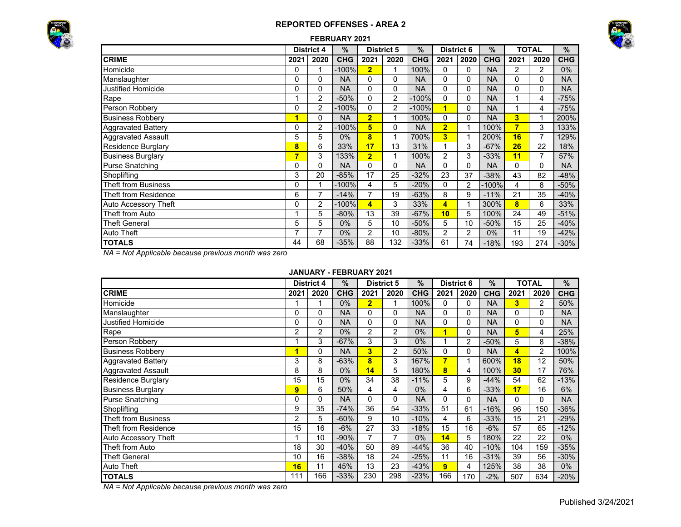



### **FEBRUARY 2021**

|                             |          | <b>District 4</b> | $\%$       |                | <b>District 5</b> | $\%$       | <b>District 6</b> |                          | $\%$       |                | <b>TOTAL</b> | %          |
|-----------------------------|----------|-------------------|------------|----------------|-------------------|------------|-------------------|--------------------------|------------|----------------|--------------|------------|
| <b>CRIME</b>                | 2021     | 2020              | <b>CHG</b> | 2021           | 2020              | <b>CHG</b> | 2021              | 2020                     | <b>CHG</b> | 2021           | 2020         | <b>CHG</b> |
| Homicide                    | 0        |                   | $-100%$    | $\overline{2}$ |                   | 100%       | 0                 | 0                        | <b>NA</b>  | 2              | 2            | 0%         |
| Manslaughter                | $\Omega$ | 0                 | <b>NA</b>  | 0              | 0                 | <b>NA</b>  | 0                 | $\mathbf{0}$             | <b>NA</b>  | 0              | 0            | <b>NA</b>  |
| <b>Justified Homicide</b>   | 0        | 0                 | <b>NA</b>  | 0              | 0                 | <b>NA</b>  | 0                 | $\mathbf{0}$             | <b>NA</b>  | 0              | 0            | <b>NA</b>  |
| Rape                        |          | 2                 | $-50%$     | 0              | 2                 | $-100%$    | 0                 | 0                        | <b>NA</b>  |                | 4            | $-75%$     |
| Person Robbery              | 0        | 2                 | $-100%$    | 0              | 2                 | -100%      | 1                 | $\mathbf{0}$             | <b>NA</b>  |                | 4            | $-75%$     |
| <b>Business Robbery</b>     | 1        | 0                 | <b>NA</b>  | $\overline{2}$ | 1                 | 100%       | 0                 | $\mathbf{0}$             | <b>NA</b>  | 3 <sup>1</sup> |              | 200%       |
| <b>Aggravated Battery</b>   | 0        | $\overline{c}$    | $-100%$    | 5              | 0                 | <b>NA</b>  | $\overline{2}$    | $\overline{\mathcal{L}}$ | 100%       | 7              | 3            | 133%       |
| <b>Aggravated Assault</b>   | 5        | 5                 | $0\%$      | 8              | 1                 | 700%       | 3                 |                          | 200%       | 16             |              | 129%       |
| <b>Residence Burglary</b>   | 8        | 6                 | 33%        | 17             | 13                | 31%        |                   | 3                        | $-67%$     | 26             | 22           | 18%        |
| <b>Business Burglary</b>    | 7        | 3                 | 133%       | $\overline{2}$ | 1                 | 100%       | 2                 | 3                        | $-33%$     | 11             |              | 57%        |
| <b>Purse Snatching</b>      | 0        | 0                 | <b>NA</b>  | 0              | 0                 | <b>NA</b>  | 0                 | 0                        | <b>NA</b>  | 0              | 0            | <b>NA</b>  |
| Shoplifting                 | 3        | 20                | $-85%$     | 17             | 25                | $-32%$     | 23                | 37                       | $-38%$     | 43             | 82           | $-48%$     |
| <b>Theft from Business</b>  | $\Omega$ | 1                 | -100%      | 4              | 5                 | $-20%$     | $\Omega$          | $\overline{2}$           | $-100\%$   | 4              | 8            | $-50%$     |
| Theft from Residence        | 6        | 7                 | $-14%$     | $\overline{7}$ | 19                | $-63%$     | 8                 | 9                        | $-11%$     | 21             | 35           | $-40%$     |
| <b>Auto Accessory Theft</b> | $\Omega$ | 2                 | $-100%$    | 4              | 3                 | 33%        | $\overline{4}$    |                          | 300%       | 8              | 6            | 33%        |
| Theft from Auto             |          | 5                 | $-80%$     | 13             | 39                | $-67%$     | 10                | 5                        | 100%       | 24             | 49           | $-51%$     |
| <b>Theft General</b>        | 5        | 5                 | $0\%$      | 5              | 10                | $-50%$     | 5                 | 10                       | $-50%$     | 15             | 25           | $-40%$     |
| <b>Auto Theft</b>           | 7        | 7                 | $0\%$      | $\overline{2}$ | 10                | $-80%$     | 2                 | $\overline{2}$           | 0%         | 11             | 19           | $-42%$     |
| <b>TOTALS</b>               | 44       | 68                | $-35%$     | 88             | 132               | $-33%$     | 61                | 74                       | $-18%$     | 193            | 274          | $-30%$     |

*NA = Not Applicable because previous month was zero*

#### **JANUARY - FEBRUARY 2021**

|                            |      | <b>District 4</b> | %          |                | <b>District 5</b> | $\%$       | <b>District 6</b> |              | %          |                         | TOTAL          | %          |
|----------------------------|------|-------------------|------------|----------------|-------------------|------------|-------------------|--------------|------------|-------------------------|----------------|------------|
| <b>CRIME</b>               | 2021 | 2020              | <b>CHG</b> | 2021           | 2020              | <b>CHG</b> | 2021              | 2020         | <b>CHG</b> | 2021                    | 2020           | <b>CHG</b> |
| Homicide                   |      |                   | 0%         | $\overline{2}$ |                   | 100%       | $\Omega$          | 0            | <b>NA</b>  | $\overline{\mathbf{3}}$ | 2              | 50%        |
| Manslaughter               | 0    | 0                 | <b>NA</b>  | 0              | 0                 | <b>NA</b>  | 0                 | 0            | <b>NA</b>  | 0                       | 0              | <b>NA</b>  |
| Justified Homicide         | 0    | $\Omega$          | <b>NA</b>  | 0              | 0                 | <b>NA</b>  | 0                 | 0            | <b>NA</b>  | 0                       | 0              | <b>NA</b>  |
| Rape                       | 2    | $\overline{2}$    | $0\%$      | $\overline{2}$ | $\overline{2}$    | 0%         | 1                 | $\mathbf{0}$ | <b>NA</b>  | 5                       | 4              | 25%        |
| Person Robbery             |      | 3                 | $-67%$     | 3              | 3                 | 0%         |                   | 2            | $-50%$     | 5                       | 8              | $-38%$     |
| <b>Business Robberv</b>    | 1    | 0                 | <b>NA</b>  | 3              | $\overline{c}$    | 50%        | $\Omega$          | 0            | <b>NA</b>  | 4                       | $\overline{2}$ | 100%       |
| <b>Aggravated Battery</b>  | 3    | 8                 | $-63%$     | 8              | 3                 | 167%       | 7                 | 1            | 600%       | 18                      | 12             | 50%        |
| <b>Aggravated Assault</b>  | 8    | 8                 | $0\%$      | 14             | 5                 | 180%       | 8                 | 4            | 100%       | 30                      | 17             | 76%        |
| <b>Residence Burglary</b>  | 15   | 15                | $0\%$      | 34             | 38                | $-11%$     | 5                 | 9            | $-44%$     | 54                      | 62             | $-13%$     |
| <b>Business Burglary</b>   | 9    | 6                 | 50%        | 4              | 4                 | 0%         | 4                 | 6            | $-33%$     | 17                      | 16             | 6%         |
| <b>Purse Snatching</b>     | 0    | $\Omega$          | <b>NA</b>  | 0              | $\Omega$          | <b>NA</b>  | $\Omega$          | 0            | <b>NA</b>  | 0                       | 0              | <b>NA</b>  |
| Shoplifting                | 9    | 35                | $-74%$     | 36             | 54                | $-33%$     | 51                | 61           | $-16%$     | 96                      | 150            | $-36%$     |
| <b>Theft from Business</b> | 2    | 5                 | $-60%$     | 9              | 10                | $-10%$     | 4                 | 6            | $-33%$     | 15                      | 21             | $-29%$     |
| Theft from Residence       | 15   | 16                | $-6%$      | 27             | 33                | $-18%$     | 15                | 16           | $-6%$      | 57                      | 65             | $-12%$     |
| Auto Accessory Theft       |      | 10                | $-90%$     | 7              | 7                 | 0%         | 14                | 5            | 180%       | 22                      | 22             | $0\%$      |
| Theft from Auto            | 18   | 30                | $-40%$     | 50             | 89                | $-44%$     | 36                | 40           | $-10%$     | 104                     | 159            | $-35%$     |
| <b>Theft General</b>       | 10   | 16                | $-38%$     | 18             | 24                | $-25%$     | 11                | 16           | $-31%$     | 39                      | 56             | $-30%$     |
| Auto Theft                 | 16   | 11                | 45%        | 13             | 23                | $-43%$     | 9                 | 4            | 125%       | 38                      | 38             | $0\%$      |
| <b>TOTALS</b>              | 111  | 166               | $-33%$     | 230            | 298               | $-23%$     | 166               | 170          | $-2%$      | 507                     | 634            | $-20%$     |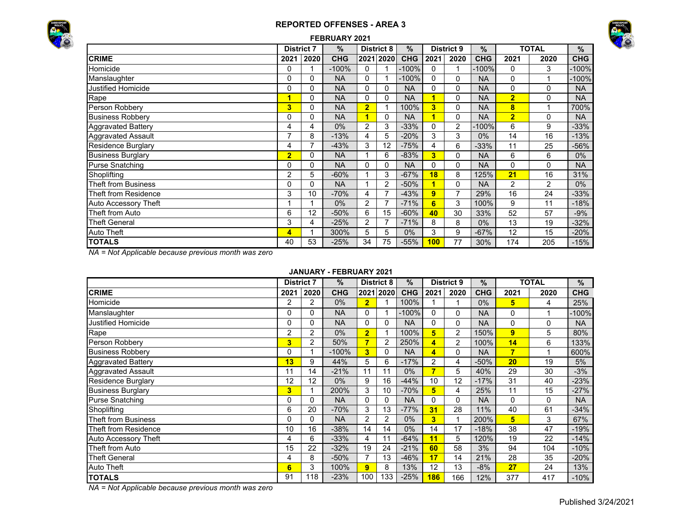



|                             |                   |      | FEBRUARY 2021 |                |                   |            |          |                   |               |                |                |            |
|-----------------------------|-------------------|------|---------------|----------------|-------------------|------------|----------|-------------------|---------------|----------------|----------------|------------|
|                             | <b>District 7</b> |      | $\%$          |                | <b>District 8</b> | $\%$       |          | <b>District 9</b> | $\frac{0}{0}$ |                | <b>TOTAL</b>   | $\%$       |
| <b>CRIME</b>                | 2021              | 2020 | <b>CHG</b>    |                | 2021 2020         | <b>CHG</b> | 2021     | 2020              | <b>CHG</b>    | 2021           | 2020           | <b>CHG</b> |
| Homicide                    | 0                 |      | $-100%$       | 0              |                   | $-100%$    | $\Omega$ |                   | $-100%$       | $\Omega$       | 3              | $-100%$    |
| Manslaughter                | 0                 | 0    | <b>NA</b>     | 0              | 1                 | -100%      | 0        | $\Omega$          | <b>NA</b>     | 0              |                | $-100%$    |
| Justified Homicide          | 0                 | 0    | <b>NA</b>     | 0              | 0                 | <b>NA</b>  | 0        | 0                 | <b>NA</b>     | 0              | 0              | <b>NA</b>  |
| Rape                        | 1                 | 0    | <b>NA</b>     | 0              | 0                 | <b>NA</b>  | 1        | 0                 | <b>NA</b>     | $\overline{2}$ | 0              | <b>NA</b>  |
| Person Robbery              | 3                 | 0    | <b>NA</b>     | $\overline{2}$ |                   | 100%       | 3        | 0                 | <b>NA</b>     | 8              |                | 700%       |
| <b>Business Robbery</b>     | 0                 | 0    | <b>NA</b>     | 1              | 0                 | <b>NA</b>  | 1        | $\mathbf{0}$      | <b>NA</b>     | $\overline{2}$ | 0              | <b>NA</b>  |
| <b>Aggravated Battery</b>   | 4                 | 4    | $0\%$         | $\overline{2}$ | 3                 | $-33%$     | $\Omega$ | $\overline{2}$    | $-100%$       | 6              | 9              | $-33%$     |
| <b>Aggravated Assault</b>   | 7                 | 8    | $-13%$        | 4              | 5                 | $-20%$     | 3        | 3                 | $0\%$         | 14             | 16             | $-13%$     |
| Residence Burglary          | 4                 | 7    | $-43%$        | 3              | 12                | $-75%$     | 4        | 6                 | $-33%$        | 11             | 25             | $-56%$     |
| <b>Business Burglary</b>    | $\overline{2}$    | 0    | <b>NA</b>     |                | 6                 | $-83%$     | 3        | $\Omega$          | <b>NA</b>     | 6              | 6              | $0\%$      |
| <b>Purse Snatching</b>      | 0                 | 0    | <b>NA</b>     | 0              | 0                 | <b>NA</b>  | 0        | 0                 | <b>NA</b>     | 0              | 0              | <b>NA</b>  |
| Shoplifting                 | 2                 | 5    | $-60%$        |                | 3                 | $-67%$     | 18       | 8                 | 125%          | 21             | 16             | 31%        |
| <b>Theft from Business</b>  | 0                 | 0    | <b>NA</b>     |                | $\overline{2}$    | $-50%$     | 1        | 0                 | <b>NA</b>     | $\overline{2}$ | $\overline{2}$ | $0\%$      |
| Theft from Residence        | 3                 | 10   | $-70%$        | 4              | 7                 | $-43%$     | 9        |                   | 29%           | 16             | 24             | $-33%$     |
| <b>Auto Accessory Theft</b> |                   |      | $0\%$         | 2              | $\overline{7}$    | $-71%$     | 6        | 3                 | 100%          | 9              | 11             | $-18%$     |
| Theft from Auto             | 6                 | 12   | $-50%$        | 6              | 15                | $-60%$     | 40       | 30                | 33%           | 52             | 57             | $-9%$      |
| <b>Theft General</b>        | 3                 | 4    | $-25%$        | 2              | 7                 | $-71%$     | 8        | 8                 | $0\%$         | 13             | 19             | $-32%$     |
| Auto Theft                  | 4                 |      | 300%          | 5              | 5                 | $0\%$      | 3        | 9                 | $-67%$        | 12             | 15             | $-20%$     |
| <b>TOTALS</b>               | 40                | 53   | $-25%$        | 34             | 75                | $-55%$     | 100      | 77                | 30%           | 174            | 205            | $-15%$     |

*NA = Not Applicable because previous month was zero*

### **JANUARY - FEBRUARY 2021**

|                            | <b>District 7</b> |      | $\%$       |                | <b>District 8</b> | %          |                | <b>District 9</b> | $\%$       |                | <b>TOTAL</b> | $\%$       |
|----------------------------|-------------------|------|------------|----------------|-------------------|------------|----------------|-------------------|------------|----------------|--------------|------------|
| <b>CRIME</b>               | 2021              | 2020 | <b>CHG</b> |                | 2021 2020         | <b>CHG</b> | 2021           | 2020              | <b>CHG</b> | 2021           | 2020         | <b>CHG</b> |
| Homicide                   | 2                 | 2    | $0\%$      | $\overline{2}$ |                   | 100%       |                |                   | $0\%$      | 5              | 4            | 25%        |
| Manslaughter               | 0                 | 0    | <b>NA</b>  | 0              |                   | $-100%$    | 0              | 0                 | <b>NA</b>  | 0              |              | $-100%$    |
| Justified Homicide         |                   | 0    | <b>NA</b>  | $\Omega$       | 0                 | <b>NA</b>  | 0              | $\Omega$          | <b>NA</b>  | 0              | 0            | <b>NA</b>  |
| Rape                       | 2                 | 2    | $0\%$      | $\overline{2}$ |                   | 100%       | 5              | $\overline{2}$    | 150%       | 9              | 5            | 80%        |
| Person Robbery             | 3                 | 2    | 50%        | 7              | 2                 | 250%       | 4              | $\overline{2}$    | 100%       | 14             | 6            | 133%       |
| <b>Business Robbery</b>    |                   |      | $-100%$    | 3              | $\Omega$          | <b>NA</b>  | 4              | $\Omega$          | <b>NA</b>  | $\overline{7}$ |              | 600%       |
| <b>Aggravated Battery</b>  | 13                | 9    | 44%        | 5              | 6                 | $-17%$     | $\overline{c}$ | 4                 | $-50%$     | 20             | 19           | 5%         |
| <b>Aggravated Assault</b>  | 11                | 14   | $-21%$     | 11             | 11                | $0\%$      | 7              | 5                 | 40%        | 29             | 30           | $-3%$      |
| <b>Residence Burglary</b>  | 12                | 12   | $0\%$      | 9              | 16                | $-44%$     | 10             | 12                | $-17%$     | 31             | 40           | $-23%$     |
| <b>Business Burglary</b>   | 3                 |      | 200%       | 3              | 10                | $-70%$     | 5              | 4                 | 25%        | 11             | 15           | $-27%$     |
| <b>Purse Snatching</b>     |                   | 0    | <b>NA</b>  | $\Omega$       | 0                 | <b>NA</b>  | 0              | $\Omega$          | <b>NA</b>  | $\Omega$       | $\mathbf{0}$ | <b>NA</b>  |
| Shoplifting                | 6                 | 20   | $-70%$     | 3              | 13                | $-77%$     | 31             | 28                | 11%        | 40             | 61           | $-34%$     |
| <b>Theft from Business</b> |                   | 0    | <b>NA</b>  | 2              | 2                 | $0\%$      | 3              | 1                 | 200%       | 5              | 3            | 67%        |
| Theft from Residence       | 10                | 16   | $-38%$     | 14             | 14                | $0\%$      | 14             | 17                | $-18%$     | 38             | 47           | $-19%$     |
| Auto Accessory Theft       | 4                 | 6    | $-33%$     | 4              | 11                | $-64%$     | 11             | 5                 | 120%       | 19             | 22           | $-14%$     |
| Theft from Auto            | 15                | 22   | $-32%$     | 19             | 24                | $-21%$     | 60             | 58                | 3%         | 94             | 104          | $-10%$     |
| <b>Theft General</b>       | 4                 | 8    | $-50%$     | $\overline{7}$ | 13                | $-46%$     | 17             | 14                | 21%        | 28             | 35           | $-20%$     |
| <b>Auto Theft</b>          | 6                 | 3    | 100%       | 9              | 8                 | 13%        | 12             | 13                | $-8%$      | 27             | 24           | 13%        |
| <b>TOTALS</b>              | 91                | 118  | $-23%$     | 100            | 133               | $-25%$     | 186            | 166               | 12%        | 377            | 417          | $-10%$     |